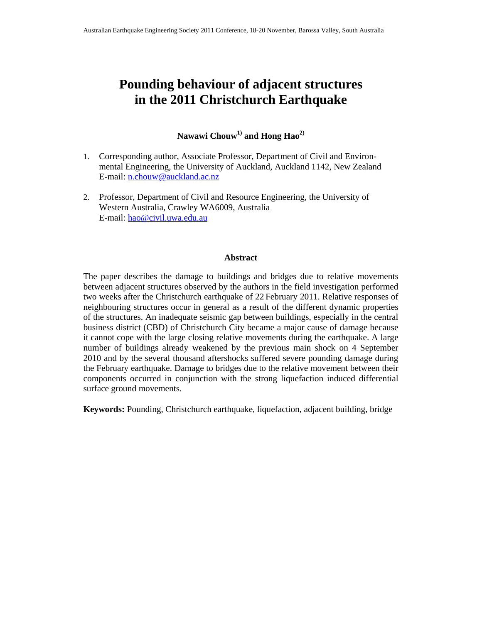# **Pounding behaviour of adjacent structures in the 2011 Christchurch Earthquake**

Nawawi Chouw<sup>1)</sup> and Hong Hao<sup>2)</sup>

- 1. Corresponding author, Associate Professor, Department of Civil and Environmental Engineering, the University of Auckland, Auckland 1142, New Zealand E-mail: n.chouw@auckland.ac.nz
- 2. Professor, Department of Civil and Resource Engineering, the University of Western Australia, Crawley WA6009, Australia E-mail: hao@civil.uwa.edu.au

#### **Abstract**

The paper describes the damage to buildings and bridges due to relative movements between adjacent structures observed by the authors in the field investigation performed two weeks after the Christchurch earthquake of 22 February 2011. Relative responses of neighbouring structures occur in general as a result of the different dynamic properties of the structures. An inadequate seismic gap between buildings, especially in the central business district (CBD) of Christchurch City became a major cause of damage because it cannot cope with the large closing relative movements during the earthquake. A large number of buildings already weakened by the previous main shock on 4 September 2010 and by the several thousand aftershocks suffered severe pounding damage during the February earthquake. Damage to bridges due to the relative movement between their components occurred in conjunction with the strong liquefaction induced differential surface ground movements.

**Keywords:** Pounding, Christchurch earthquake, liquefaction, adjacent building, bridge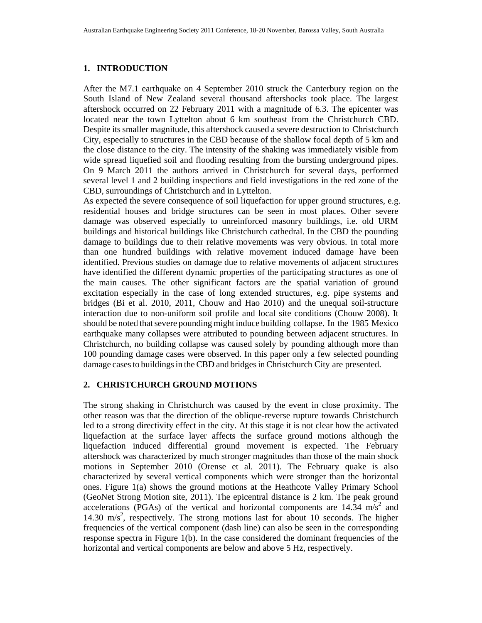## **1. INTRODUCTION**

After the M7.1 earthquake on 4 September 2010 struck the Canterbury region on the South Island of New Zealand several thousand aftershocks took place. The largest aftershock occurred on 22 February 2011 with a magnitude of 6.3. The epicenter was located near the town Lyttelton about 6 km southeast from the Christchurch CBD. Despite its smaller magnitude, this aftershock caused a severe destruction to Christchurch City, especially to structures in the CBD because of the shallow focal depth of 5 km and the close distance to the city. The intensity of the shaking was immediately visible from wide spread liquefied soil and flooding resulting from the bursting underground pipes. On 9 March 2011 the authors arrived in Christchurch for several days, performed several level 1 and 2 building inspections and field investigations in the red zone of the CBD, surroundings of Christchurch and in Lyttelton.

As expected the severe consequence of soil liquefaction for upper ground structures, e.g. residential houses and bridge structures can be seen in most places. Other severe damage was observed especially to unreinforced masonry buildings, i.e. old URM buildings and historical buildings like Christchurch cathedral. In the CBD the pounding damage to buildings due to their relative movements was very obvious. In total more than one hundred buildings with relative movement induced damage have been identified. Previous studies on damage due to relative movements of adjacent structures have identified the different dynamic properties of the participating structures as one of the main causes. The other significant factors are the spatial variation of ground excitation especially in the case of long extended structures, e.g. pipe systems and bridges (Bi et al. 2010, 2011, Chouw and Hao 2010) and the unequal soil-structure interaction due to non-uniform soil profile and local site conditions (Chouw 2008). It should be noted thatsevere pounding might induce building collapse. In the 1985 Mexico earthquake many collapses were attributed to pounding between adjacent structures. In Christchurch, no building collapse was caused solely by pounding although more than 100 pounding damage cases were observed. In this paper only a few selected pounding damage cases to buildings in the CBD and bridges in Christchurch City are presented.

## **2. CHRISTCHURCH GROUND MOTIONS**

The strong shaking in Christchurch was caused by the event in close proximity. The other reason was that the direction of the oblique-reverse rupture towards Christchurch led to a strong directivity effect in the city. At this stage it is not clear how the activated liquefaction at the surface layer affects the surface ground motions although the liquefaction induced differential ground movement is expected. The February aftershock was characterized by much stronger magnitudes than those of the main shock motions in September 2010 (Orense et al. 2011). The February quake is also characterized by several vertical components which were stronger than the horizontal ones. Figure 1(a) shows the ground motions at the Heathcote Valley Primary School (GeoNet Strong Motion site, 2011). The epicentral distance is 2 km. The peak ground accelerations (PGAs) of the vertical and horizontal components are  $14.34 \text{ m/s}^2$  and 14.30 m/s<sup>2</sup>, respectively. The strong motions last for about 10 seconds. The higher frequencies of the vertical component (dash line) can also be seen in the corresponding response spectra in Figure 1(b). In the case considered the dominant frequencies of the horizontal and vertical components are below and above 5 Hz, respectively.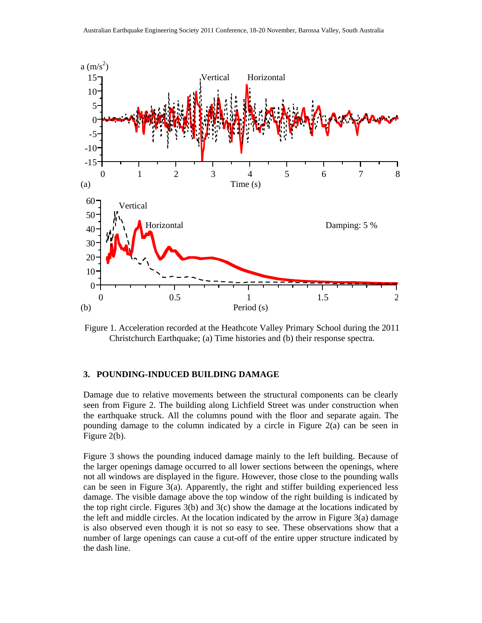

Figure 1. Acceleration recorded at the Heathcote Valley Primary School during the 2011 Christchurch Earthquake; (a) Time histories and (b) their response spectra.

#### **3. POUNDING-INDUCED BUILDING DAMAGE**

Damage due to relative movements between the structural components can be clearly seen from Figure 2. The building along Lichfield Street was under construction when the earthquake struck. All the columns pound with the floor and separate again. The pounding damage to the column indicated by a circle in Figure 2(a) can be seen in Figure 2(b).

Figure 3 shows the pounding induced damage mainly to the left building. Because of the larger openings damage occurred to all lower sections between the openings, where not all windows are displayed in the figure. However, those close to the pounding walls can be seen in Figure 3(a). Apparently, the right and stiffer building experienced less damage. The visible damage above the top window of the right building is indicated by the top right circle. Figures  $3(b)$  and  $3(c)$  show the damage at the locations indicated by the left and middle circles. At the location indicated by the arrow in Figure 3(a) damage is also observed even though it is not so easy to see. These observations show that a number of large openings can cause a cut-off of the entire upper structure indicated by the dash line.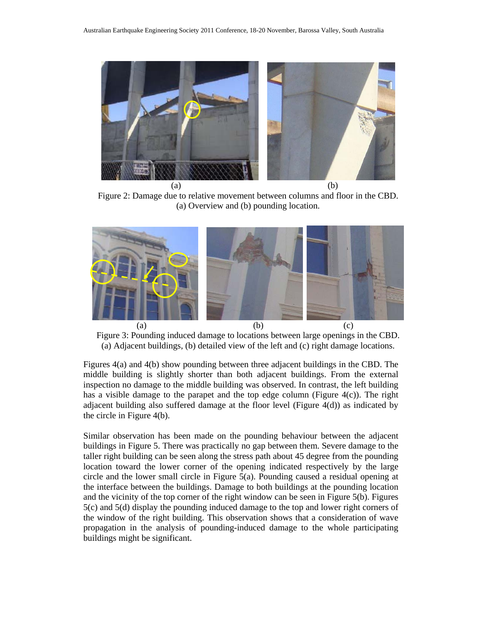

Figure 2: Damage due to relative movement between columns and floor in the CBD. (a) Overview and (b) pounding location.



Figure 3: Pounding induced damage to locations between large openings in the CBD. (a) Adjacent buildings, (b) detailed view of the left and (c) right damage locations.

Figures 4(a) and 4(b) show pounding between three adjacent buildings in the CBD. The middle building is slightly shorter than both adjacent buildings. From the external inspection no damage to the middle building was observed. In contrast, the left building has a visible damage to the parapet and the top edge column (Figure  $4(c)$ ). The right adjacent building also suffered damage at the floor level (Figure 4(d)) as indicated by the circle in Figure 4(b).

Similar observation has been made on the pounding behaviour between the adjacent buildings in Figure 5. There was practically no gap between them. Severe damage to the taller right building can be seen along the stress path about 45 degree from the pounding location toward the lower corner of the opening indicated respectively by the large circle and the lower small circle in Figure 5(a). Pounding caused a residual opening at the interface between the buildings. Damage to both buildings at the pounding location and the vicinity of the top corner of the right window can be seen in Figure 5(b). Figures 5(c) and 5(d) display the pounding induced damage to the top and lower right corners of the window of the right building. This observation shows that a consideration of wave propagation in the analysis of pounding-induced damage to the whole participating buildings might be significant.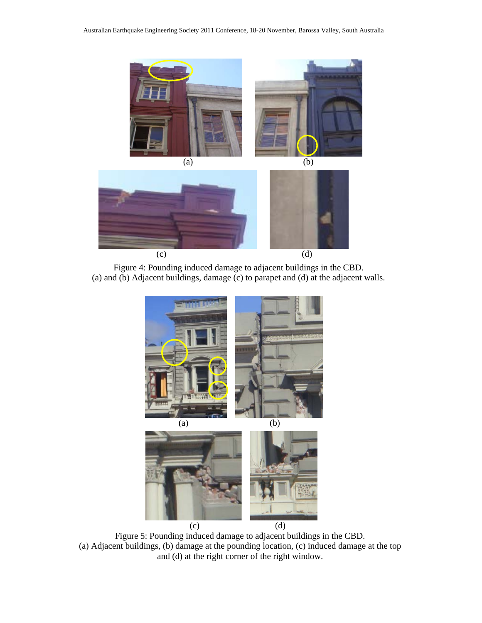

Figure 4: Pounding induced damage to adjacent buildings in the CBD. (a) and (b) Adjacent buildings, damage (c) to parapet and (d) at the adjacent walls.



Figure 5: Pounding induced damage to adjacent buildings in the CBD. (a) Adjacent buildings, (b) damage at the pounding location, (c) induced damage at the top and (d) at the right corner of the right window.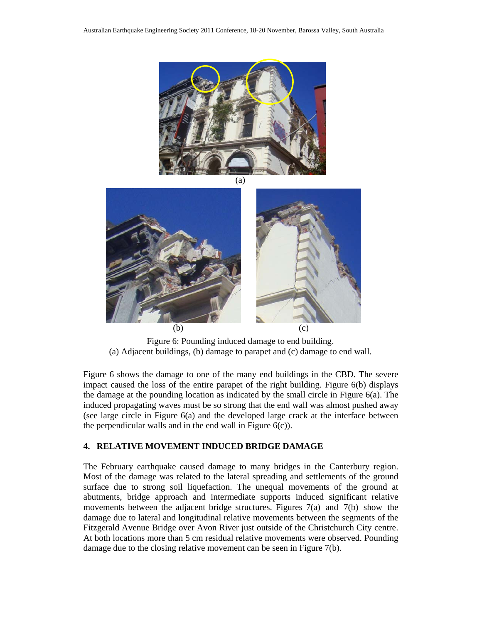



Figure 6: Pounding induced damage to end building. (a) Adjacent buildings, (b) damage to parapet and (c) damage to end wall.

Figure 6 shows the damage to one of the many end buildings in the CBD. The severe impact caused the loss of the entire parapet of the right building. Figure 6(b) displays the damage at the pounding location as indicated by the small circle in Figure 6(a). The induced propagating waves must be so strong that the end wall was almost pushed away (see large circle in Figure 6(a) and the developed large crack at the interface between the perpendicular walls and in the end wall in Figure  $6(c)$ ).

## **4. RELATIVE MOVEMENT INDUCED BRIDGE DAMAGE**

The February earthquake caused damage to many bridges in the Canterbury region. Most of the damage was related to the lateral spreading and settlements of the ground surface due to strong soil liquefaction. The unequal movements of the ground at abutments, bridge approach and intermediate supports induced significant relative movements between the adjacent bridge structures. Figures 7(a) and 7(b) show the damage due to lateral and longitudinal relative movements between the segments of the Fitzgerald Avenue Bridge over Avon River just outside of the Christchurch City centre. At both locations more than 5 cm residual relative movements were observed. Pounding damage due to the closing relative movement can be seen in Figure 7(b).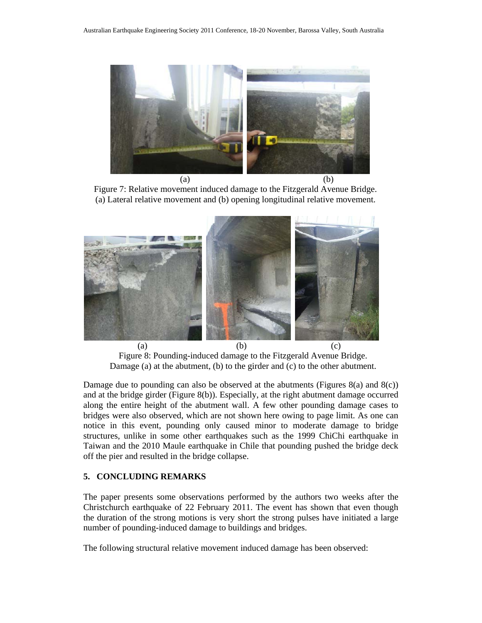

Figure 7: Relative movement induced damage to the Fitzgerald Avenue Bridge. (a) Lateral relative movement and (b) opening longitudinal relative movement.



Figure 8: Pounding-induced damage to the Fitzgerald Avenue Bridge. Damage (a) at the abutment, (b) to the girder and (c) to the other abutment.

Damage due to pounding can also be observed at the abutments (Figures 8(a) and 8(c)) and at the bridge girder (Figure 8(b)). Especially, at the right abutment damage occurred along the entire height of the abutment wall. A few other pounding damage cases to bridges were also observed, which are not shown here owing to page limit. As one can notice in this event, pounding only caused minor to moderate damage to bridge structures, unlike in some other earthquakes such as the 1999 ChiChi earthquake in Taiwan and the 2010 Maule earthquake in Chile that pounding pushed the bridge deck off the pier and resulted in the bridge collapse.

## **5. CONCLUDING REMARKS**

The paper presents some observations performed by the authors two weeks after the Christchurch earthquake of 22 February 2011. The event has shown that even though the duration of the strong motions is very short the strong pulses have initiated a large number of pounding-induced damage to buildings and bridges.

The following structural relative movement induced damage has been observed: